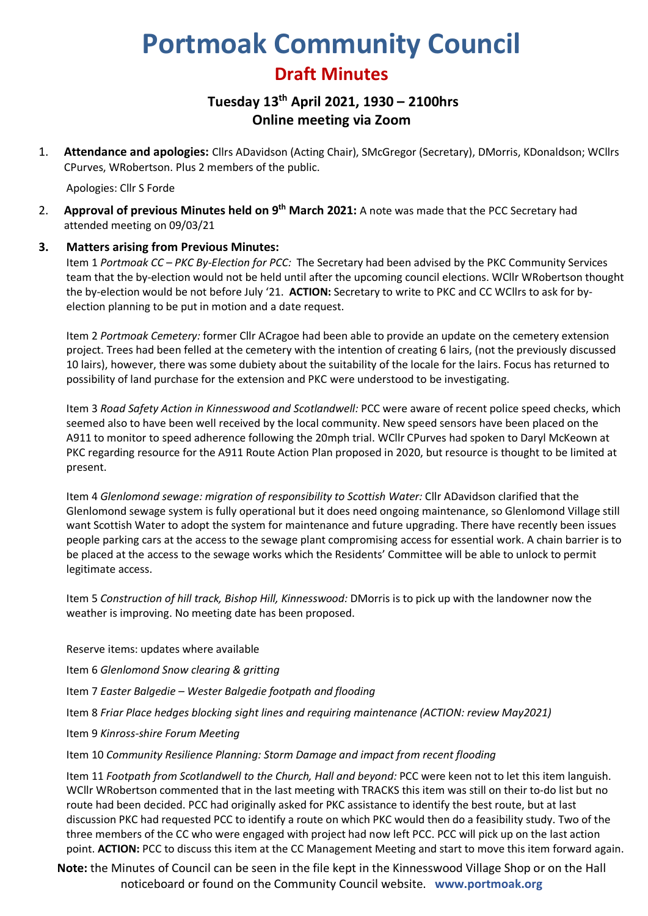# **Portmoak Community Council**

# **Draft Minutes**

# **Tuesday 13th April 2021, 1930 – 2100hrs Online meeting via Zoom**

1. **Attendance and apologies:** Cllrs ADavidson (Acting Chair), SMcGregor (Secretary), DMorris, KDonaldson; WCllrs CPurves, WRobertson. Plus 2 members of the public.

Apologies: Cllr S Forde

2. **Approval of previous Minutes held on 9 th March 2021:** A note was made that the PCC Secretary had attended meeting on 09/03/21

# **3. Matters arising from Previous Minutes:**

Item 1 *Portmoak CC – PKC By-Election for PCC:* The Secretary had been advised by the PKC Community Services team that the by-election would not be held until after the upcoming council elections. WCllr WRobertson thought the by-election would be not before July '21. **ACTION:** Secretary to write to PKC and CC WCllrs to ask for byelection planning to be put in motion and a date request.

Item 2 *Portmoak Cemetery:* former Cllr ACragoe had been able to provide an update on the cemetery extension project. Trees had been felled at the cemetery with the intention of creating 6 lairs, (not the previously discussed 10 lairs), however, there was some dubiety about the suitability of the locale for the lairs. Focus has returned to possibility of land purchase for the extension and PKC were understood to be investigating.

Item 3 *Road Safety Action in Kinnesswood and Scotlandwell:* PCC were aware of recent police speed checks, which seemed also to have been well received by the local community. New speed sensors have been placed on the A911 to monitor to speed adherence following the 20mph trial. WCllr CPurves had spoken to Daryl McKeown at PKC regarding resource for the A911 Route Action Plan proposed in 2020, but resource is thought to be limited at present.

Item 4 *Glenlomond sewage: migration of responsibility to Scottish Water:* Cllr ADavidson clarified that the Glenlomond sewage system is fully operational but it does need ongoing maintenance, so Glenlomond Village still want Scottish Water to adopt the system for maintenance and future upgrading. There have recently been issues people parking cars at the access to the sewage plant compromising access for essential work. A chain barrier is to be placed at the access to the sewage works which the Residents' Committee will be able to unlock to permit legitimate access.

Item 5 *Construction of hill track, Bishop Hill, Kinnesswood:* DMorris is to pick up with the landowner now the weather is improving. No meeting date has been proposed.

Reserve items: updates where available

Item 6 *Glenlomond Snow clearing & gritting*

Item 7 *Easter Balgedie – Wester Balgedie footpath and flooding*

Item 8 *Friar Place hedges blocking sight lines and requiring maintenance (ACTION: review May2021)*

Item 9 *Kinross-shire Forum Meeting*

Item 10 *Community Resilience Planning: Storm Damage and impact from recent flooding*

Item 11 *Footpath from Scotlandwell to the Church, Hall and beyond:* PCC were keen not to let this item languish. WCllr WRobertson commented that in the last meeting with TRACKS this item was still on their to-do list but no route had been decided. PCC had originally asked for PKC assistance to identify the best route, but at last discussion PKC had requested PCC to identify a route on which PKC would then do a feasibility study. Two of the three members of the CC who were engaged with project had now left PCC. PCC will pick up on the last action point. **ACTION:** PCC to discuss this item at the CC Management Meeting and start to move this item forward again.

**Note:** the Minutes of Council can be seen in the file kept in the Kinnesswood Village Shop or on the Hall noticeboard or found on the Community Council website. **www.portmoak.org**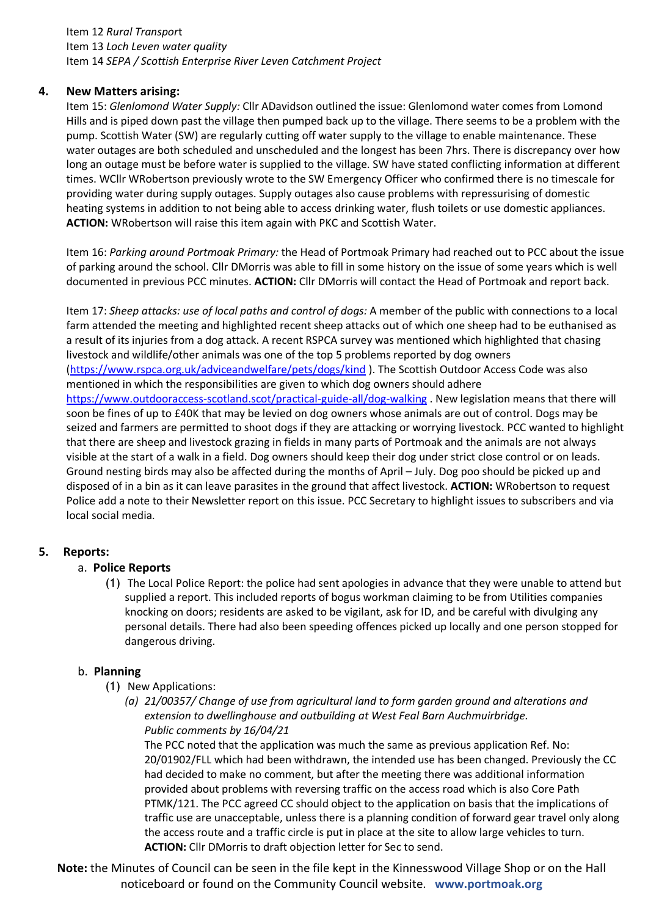### Item 12 *Rural Transpor*t Item 13 *Loch Leven water quality* Item 14 *SEPA / Scottish Enterprise River Leven Catchment Project*

# **4. New Matters arising:**

Item 15: *Glenlomond Water Supply:* Cllr ADavidson outlined the issue: Glenlomond water comes from Lomond Hills and is piped down past the village then pumped back up to the village. There seems to be a problem with the pump. Scottish Water (SW) are regularly cutting off water supply to the village to enable maintenance. These water outages are both scheduled and unscheduled and the longest has been 7hrs. There is discrepancy over how long an outage must be before water is supplied to the village. SW have stated conflicting information at different times. WCllr WRobertson previously wrote to the SW Emergency Officer who confirmed there is no timescale for providing water during supply outages. Supply outages also cause problems with repressurising of domestic heating systems in addition to not being able to access drinking water, flush toilets or use domestic appliances. **ACTION:** WRobertson will raise this item again with PKC and Scottish Water.

Item 16: *Parking around Portmoak Primary:* the Head of Portmoak Primary had reached out to PCC about the issue of parking around the school. Cllr DMorris was able to fill in some history on the issue of some years which is well documented in previous PCC minutes. **ACTION:** Cllr DMorris will contact the Head of Portmoak and report back.

Item 17: *Sheep attacks: use of local paths and control of dogs:* A member of the public with connections to a local farm attended the meeting and highlighted recent sheep attacks out of which one sheep had to be euthanised as a result of its injuries from a dog attack. A recent RSPCA survey was mentioned which highlighted that chasing livestock and wildlife/other animals was one of the top 5 problems reported by dog owners [\(https://www.rspca.org.uk/adviceandwelfare/pets/dogs/kind](https://www.rspca.org.uk/adviceandwelfare/pets/dogs/kind) ). The Scottish Outdoor Access Code was also mentioned in which the responsibilities are given to which dog owners should adhere <https://www.outdooraccess-scotland.scot/practical-guide-all/dog-walking> . New legislation means that there will soon be fines of up to £40K that may be levied on dog owners whose animals are out of control. Dogs may be seized and farmers are permitted to shoot dogs if they are attacking or worrying livestock. PCC wanted to highlight that there are sheep and livestock grazing in fields in many parts of Portmoak and the animals are not always visible at the start of a walk in a field. Dog owners should keep their dog under strict close control or on leads. Ground nesting birds may also be affected during the months of April – July. Dog poo should be picked up and disposed of in a bin as it can leave parasites in the ground that affect livestock. **ACTION:** WRobertson to request Police add a note to their Newsletter report on this issue. PCC Secretary to highlight issues to subscribers and via local social media.

# **5. Reports:**

#### a. **Police Reports**

(1) The Local Police Report: the police had sent apologies in advance that they were unable to attend but supplied a report. This included reports of bogus workman claiming to be from Utilities companies knocking on doors; residents are asked to be vigilant, ask for ID, and be careful with divulging any personal details. There had also been speeding offences picked up locally and one person stopped for dangerous driving.

#### b. **Planning**

- (1) New Applications:
	- *(a) 21/00357/ Change of use from agricultural land to form garden ground and alterations and extension to dwellinghouse and outbuilding at West Feal Barn Auchmuirbridge. Public comments by 16/04/21*

The PCC noted that the application was much the same as previous application Ref. No: 20/01902/FLL which had been withdrawn, the intended use has been changed. Previously the CC had decided to make no comment, but after the meeting there was additional information provided about problems with reversing traffic on the access road which is also Core Path PTMK/121. The PCC agreed CC should object to the application on basis that the implications of traffic use are unacceptable, unless there is a planning condition of forward gear travel only along the access route and a traffic circle is put in place at the site to allow large vehicles to turn. **ACTION:** Cllr DMorris to draft objection letter for Sec to send.

**Note:** the Minutes of Council can be seen in the file kept in the Kinnesswood Village Shop or on the Hall noticeboard or found on the Community Council website. **www.portmoak.org**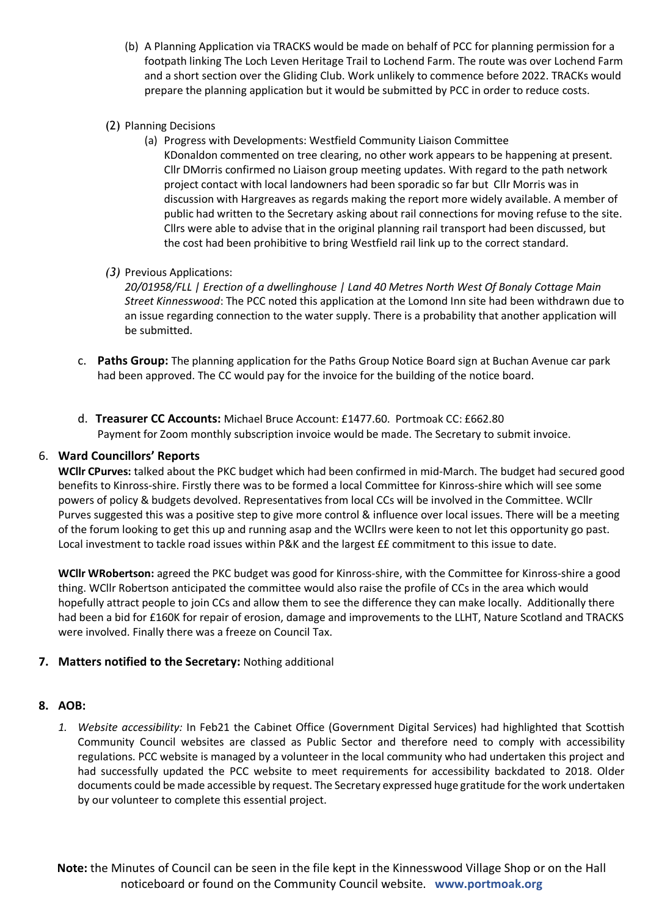- (b) A Planning Application via TRACKS would be made on behalf of PCC for planning permission for a footpath linking The Loch Leven Heritage Trail to Lochend Farm. The route was over Lochend Farm and a short section over the Gliding Club. Work unlikely to commence before 2022. TRACKs would prepare the planning application but it would be submitted by PCC in order to reduce costs.
- (2) Planning Decisions
	- (a) Progress with Developments: Westfield Community Liaison Committee KDonaldon commented on tree clearing, no other work appears to be happening at present. Cllr DMorris confirmed no Liaison group meeting updates. With regard to the path network project contact with local landowners had been sporadic so far but Cllr Morris was in discussion with Hargreaves as regards making the report more widely available. A member of public had written to the Secretary asking about rail connections for moving refuse to the site. Cllrs were able to advise that in the original planning rail transport had been discussed, but the cost had been prohibitive to bring Westfield rail link up to the correct standard.
- *(3)* Previous Applications:

*20/01958/FLL | Erection of a dwellinghouse | Land 40 Metres North West Of Bonaly Cottage Main Street Kinnesswood*: The PCC noted this application at the Lomond Inn site had been withdrawn due to an issue regarding connection to the water supply. There is a probability that another application will be submitted.

- c. **Paths Group:** The planning application for the Paths Group Notice Board sign at Buchan Avenue car park had been approved. The CC would pay for the invoice for the building of the notice board.
- d. **Treasurer CC Accounts:** Michael Bruce Account: £1477.60. Portmoak CC: £662.80 Payment for Zoom monthly subscription invoice would be made. The Secretary to submit invoice.

# 6. **Ward Councillors' Reports**

**WCllr CPurves:** talked about the PKC budget which had been confirmed in mid-March. The budget had secured good benefits to Kinross-shire. Firstly there was to be formed a local Committee for Kinross-shire which will see some powers of policy & budgets devolved. Representatives from local CCs will be involved in the Committee. WCllr Purves suggested this was a positive step to give more control & influence over local issues. There will be a meeting of the forum looking to get this up and running asap and the WCllrs were keen to not let this opportunity go past. Local investment to tackle road issues within P&K and the largest ££ commitment to this issue to date.

**WCllr WRobertson:** agreed the PKC budget was good for Kinross-shire, with the Committee for Kinross-shire a good thing. WCllr Robertson anticipated the committee would also raise the profile of CCs in the area which would hopefully attract people to join CCs and allow them to see the difference they can make locally. Additionally there had been a bid for £160K for repair of erosion, damage and improvements to the LLHT, Nature Scotland and TRACKS were involved. Finally there was a freeze on Council Tax.

# **7. Matters notified to the Secretary:** Nothing additional

#### **8. AOB:**

*1. Website accessibility:* In Feb21 the Cabinet Office (Government Digital Services) had highlighted that Scottish Community Council websites are classed as Public Sector and therefore need to comply with accessibility regulations. PCC website is managed by a volunteer in the local community who had undertaken this project and had successfully updated the PCC website to meet requirements for accessibility backdated to 2018. Older documents could be made accessible by request. The Secretary expressed huge gratitude forthe work undertaken by our volunteer to complete this essential project.